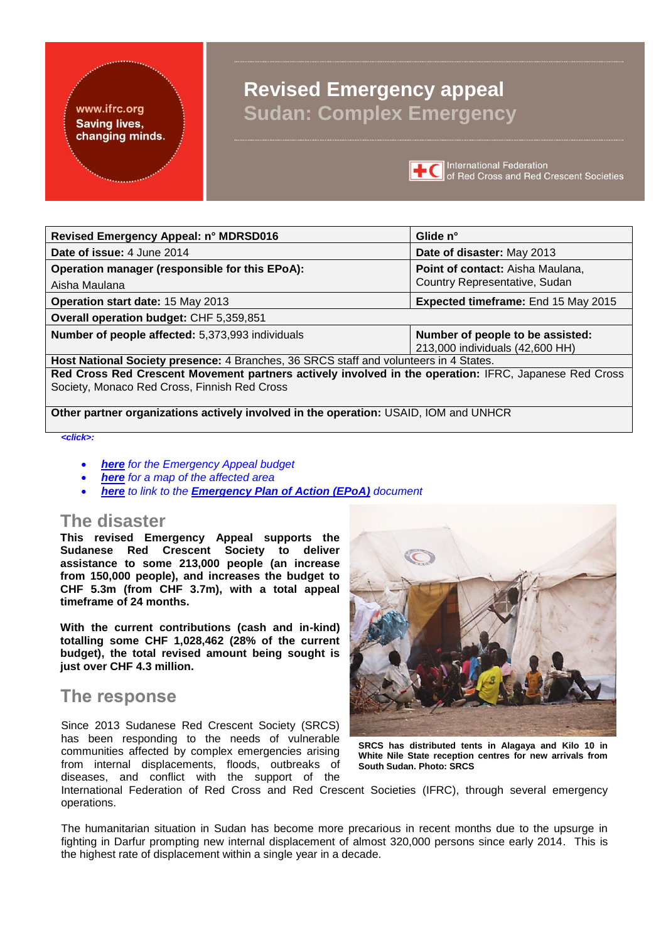## www.ifrc.org **Saving lives,** changing minds.

## **Revised Emergency appeal Sudan: Complex Emergency**



**TC** International Federation<br> **TC** of Red Cross and Red Crescent Societies

| Revised Emergency Appeal: n° MDRSD016                                                                 | Glide n°                            |  |  |  |  |  |  |
|-------------------------------------------------------------------------------------------------------|-------------------------------------|--|--|--|--|--|--|
| Date of issue: 4 June 2014                                                                            | Date of disaster: May 2013          |  |  |  |  |  |  |
| Operation manager (responsible for this EPoA):                                                        | Point of contact: Aisha Maulana,    |  |  |  |  |  |  |
| Aisha Maulana                                                                                         | Country Representative, Sudan       |  |  |  |  |  |  |
| Operation start date: 15 May 2013                                                                     | Expected timeframe: End 15 May 2015 |  |  |  |  |  |  |
| Overall operation budget: CHF 5,359,851                                                               |                                     |  |  |  |  |  |  |
| Number of people affected: 5,373,993 individuals                                                      | Number of people to be assisted:    |  |  |  |  |  |  |
|                                                                                                       | 213,000 individuals (42,600 HH)     |  |  |  |  |  |  |
| Host National Society presence: 4 Branches, 36 SRCS staff and volunteers in 4 States.                 |                                     |  |  |  |  |  |  |
| Red Cross Red Crescent Movement partners actively involved in the operation: IFRC, Japanese Red Cross |                                     |  |  |  |  |  |  |
| Society, Monaco Red Cross, Finnish Red Cross                                                          |                                     |  |  |  |  |  |  |

**Other partner organizations actively involved in the operation:** USAID, IOM and UNHCR

#### *<click>:*

- *[here](#page-7-0) for the Emergency Appeal budget*
- *[here](#page-8-0) for a map of the affected area*
- *[here](http://adore.ifrc.org/Download.aspx?FileId=59539) to link to the [Emergency Plan of Action \(EPoA\)](http://adore.ifrc.org/Download.aspx?FileId=59539) document*

## **The disaster**

**This revised Emergency Appeal supports the Sudanese Red Crescent Society to deliver assistance to some 213,000 people (an increase from 150,000 people), and increases the budget to CHF 5.3m (from CHF 3.7m), with a total appeal timeframe of 24 months.** 

**With the current contributions (cash and in-kind) totalling some CHF 1,028,462 (28% of the current budget), the total revised amount being sought is just over CHF 4.3 million.** 

## **The response**

Since 2013 Sudanese Red Crescent Society (SRCS) has been responding to the needs of vulnerable communities affected by complex emergencies arising from internal displacements, floods, outbreaks of diseases, and conflict with the support of the



**SRCS has distributed tents in Alagaya and Kilo 10 in White Nile State reception centres for new arrivals from South Sudan. Photo: SRCS**

International Federation of Red Cross and Red Crescent Societies (IFRC), through several emergency operations.

The humanitarian situation in Sudan has become more precarious in recent months due to the upsurge in fighting in Darfur prompting new internal displacement of almost 320,000 persons since early 2014. This is the highest rate of displacement within a single year in a decade.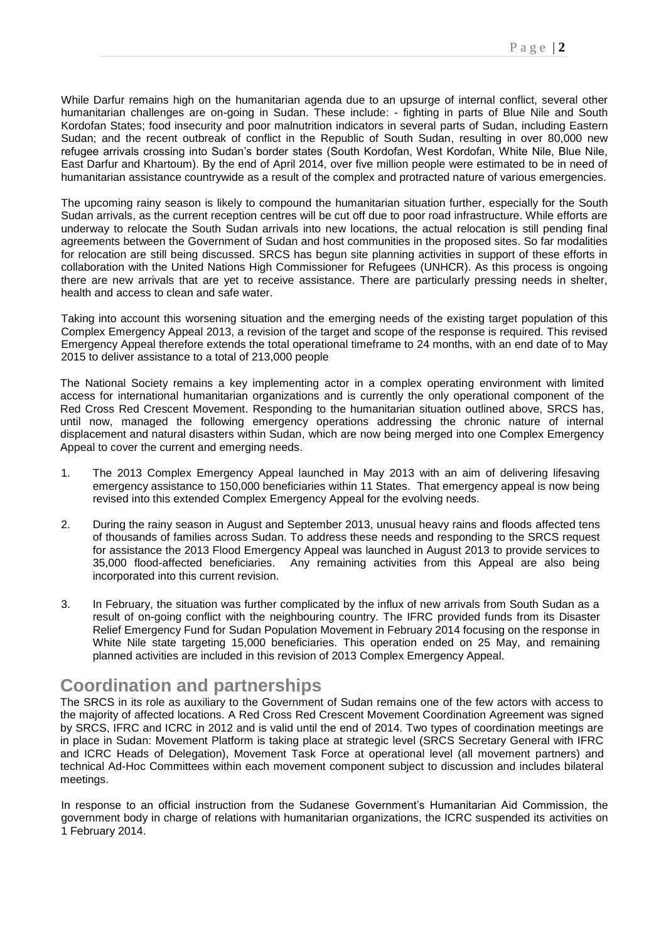While Darfur remains high on the humanitarian agenda due to an upsurge of internal conflict, several other humanitarian challenges are on-going in Sudan. These include: - fighting in parts of Blue Nile and South Kordofan States; food insecurity and poor malnutrition indicators in several parts of Sudan, including Eastern Sudan; and the recent outbreak of conflict in the Republic of South Sudan, resulting in over 80,000 new refugee arrivals crossing into Sudan's border states (South Kordofan, West Kordofan, White Nile, Blue Nile, East Darfur and Khartoum). By the end of April 2014, over five million people were estimated to be in need of humanitarian assistance countrywide as a result of the complex and protracted nature of various emergencies.

The upcoming rainy season is likely to compound the humanitarian situation further, especially for the South Sudan arrivals, as the current reception centres will be cut off due to poor road infrastructure. While efforts are underway to relocate the South Sudan arrivals into new locations, the actual relocation is still pending final agreements between the Government of Sudan and host communities in the proposed sites. So far modalities for relocation are still being discussed. SRCS has begun site planning activities in support of these efforts in collaboration with the United Nations High Commissioner for Refugees (UNHCR). As this process is ongoing there are new arrivals that are yet to receive assistance. There are particularly pressing needs in shelter, health and access to clean and safe water.

Taking into account this worsening situation and the emerging needs of the existing target population of this Complex Emergency Appeal 2013, a revision of the target and scope of the response is required. This revised Emergency Appeal therefore extends the total operational timeframe to 24 months, with an end date of to May 2015 to deliver assistance to a total of 213,000 people

The National Society remains a key implementing actor in a complex operating environment with limited access for international humanitarian organizations and is currently the only operational component of the Red Cross Red Crescent Movement. Responding to the humanitarian situation outlined above, SRCS has, until now, managed the following emergency operations addressing the chronic nature of internal displacement and natural disasters within Sudan, which are now being merged into one Complex Emergency Appeal to cover the current and emerging needs.

- 1. The 2013 Complex Emergency Appeal launched in May 2013 with an aim of delivering lifesaving emergency assistance to 150,000 beneficiaries within 11 States. That emergency appeal is now being revised into this extended Complex Emergency Appeal for the evolving needs.
- 2. During the rainy season in August and September 2013, unusual heavy rains and floods [affected tens](http://www.unocha.org/top-stories/all-stories/sudan-hundreds-thousands-affected-heavy-rains-and-floods)  [of thousands of families](http://www.unocha.org/top-stories/all-stories/sudan-hundreds-thousands-affected-heavy-rains-and-floods) across Sudan. To address these needs and responding to the SRCS request for assistance the 2013 Flood Emergency Appeal was launched in August 2013 to provide services to 35,000 flood-affected beneficiaries. Any remaining activities from this Appeal are also being incorporated into this current revision.
- 3. In February, the situation was further complicated by the influx of new arrivals from South Sudan as a result of on-going conflict with the neighbouring country. The IFRC provided funds from its Disaster Relief Emergency Fund for Sudan Population Movement in February 2014 focusing on the response in White Nile state targeting 15,000 beneficiaries. This operation ended on 25 May, and remaining planned activities are included in this revision of 2013 Complex Emergency Appeal.

## **Coordination and partnerships**

The SRCS in its role as auxiliary to the Government of Sudan remains one of the few actors with access to the majority of affected locations. A Red Cross Red Crescent Movement Coordination Agreement was signed by SRCS, IFRC and ICRC in 2012 and is valid until the end of 2014. Two types of coordination meetings are in place in Sudan: Movement Platform is taking place at strategic level (SRCS Secretary General with IFRC and ICRC Heads of Delegation), Movement Task Force at operational level (all movement partners) and technical Ad-Hoc Committees within each movement component subject to discussion and includes bilateral meetings.

In response to an official instruction from the Sudanese Government's Humanitarian Aid Commission, the government body in charge of relations with humanitarian organizations, the ICRC suspended its activities on 1 February 2014.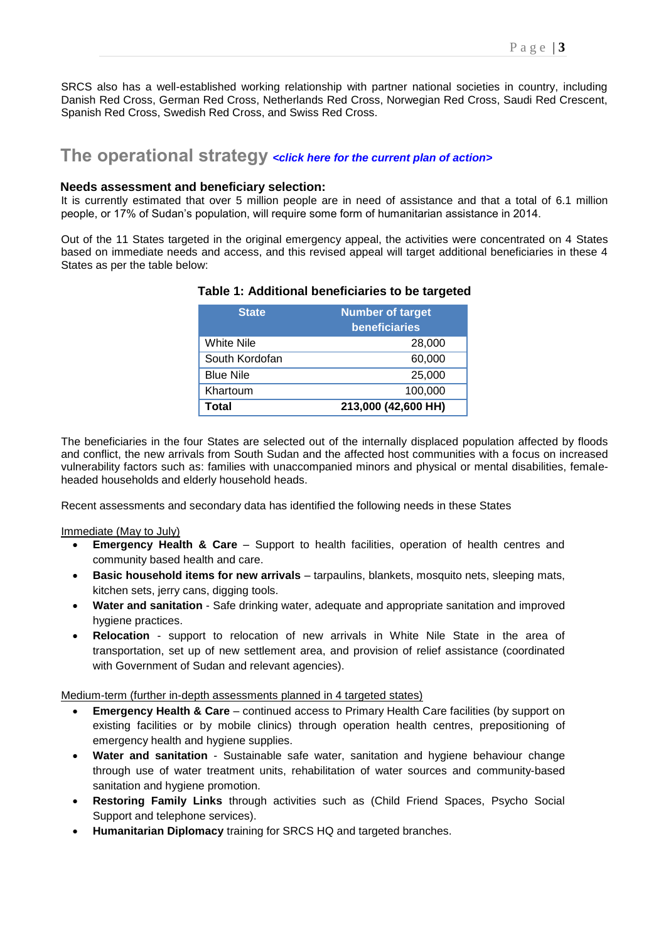SRCS also has a well-established working relationship with partner national societies in country, including Danish Red Cross, German Red Cross, Netherlands Red Cross, Norwegian Red Cross, Saudi Red Crescent, Spanish Red Cross, Swedish Red Cross, and Swiss Red Cross.

## **The operational strategy** *<[click here for the current plan of action>](http://adore.ifrc.org/Download.aspx?FileId=59539)*

#### **Needs assessment and beneficiary selection:**

It is currently estimated that over 5 million people are in need of assistance and that a total of 6.1 million people, or 17% of Sudan's population, will require some form of humanitarian assistance in 2014.

Out of the 11 States targeted in the original emergency appeal, the activities were concentrated on 4 States based on immediate needs and access, and this revised appeal will target additional beneficiaries in these 4 States as per the table below:

| <b>State</b>     | Number of target<br><b>beneficiaries</b> |
|------------------|------------------------------------------|
| White Nile       | 28,000                                   |
| South Kordofan   | 60,000                                   |
| <b>Blue Nile</b> | 25,000                                   |
| Khartoum         | 100,000                                  |
| Total            | 213,000 (42,600 HH)                      |

## **Table 1: Additional beneficiaries to be targeted**

The beneficiaries in the four States are selected out of the internally displaced population affected by floods and conflict, the new arrivals from South Sudan and the affected host communities with a focus on increased vulnerability factors such as: families with unaccompanied minors and physical or mental disabilities, femaleheaded households and elderly household heads.

Recent assessments and secondary data has identified the following needs in these States

Immediate (May to July)

- **Emergency Health & Care** Support to health facilities, operation of health centres and community based health and care.
- **Basic household items for new arrivals** tarpaulins, blankets, mosquito nets, sleeping mats, kitchen sets, jerry cans, digging tools.
- **Water and sanitation** Safe drinking water, adequate and appropriate sanitation and improved hygiene practices.
- **Relocation** support to relocation of new arrivals in White Nile State in the area of transportation, set up of new settlement area, and provision of relief assistance (coordinated with Government of Sudan and relevant agencies).

Medium-term (further in-depth assessments planned in 4 targeted states)

- **Emergency Health & Care** continued access to Primary Health Care facilities (by support on existing facilities or by mobile clinics) through operation health centres, prepositioning of emergency health and hygiene supplies.
- **Water and sanitation** Sustainable safe water, sanitation and hygiene behaviour change through use of water treatment units, rehabilitation of water sources and community-based sanitation and hygiene promotion.
- **Restoring Family Links** through activities such as (Child Friend Spaces, Psycho Social Support and telephone services).
- **Humanitarian Diplomacy** training for SRCS HQ and targeted branches.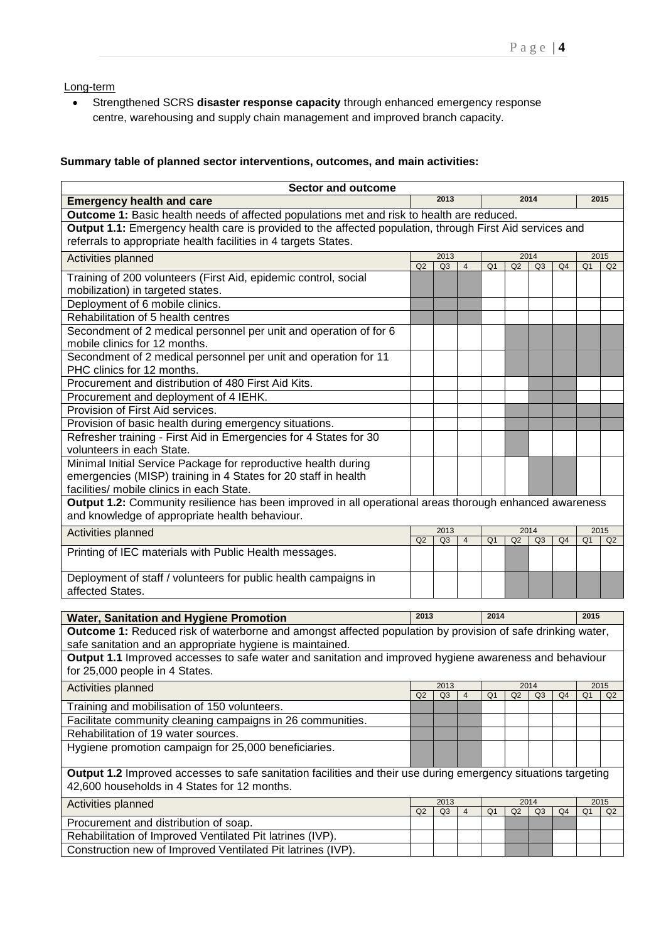Long-term

 Strengthened SCRS **disaster response capacity** through enhanced emergency response centre, warehousing and supply chain management and improved branch capacity.

## **Summary table of planned sector interventions, outcomes, and main activities:**

| <b>Sector and outcome</b>                                                                                                                |              |                        |                |                |    |                        |                |                |                |  |  |
|------------------------------------------------------------------------------------------------------------------------------------------|--------------|------------------------|----------------|----------------|----|------------------------|----------------|----------------|----------------|--|--|
| <b>Emergency health and care</b>                                                                                                         | 2013         |                        |                | 2014           |    |                        |                |                | 2015           |  |  |
| Outcome 1: Basic health needs of affected populations met and risk to health are reduced.                                                |              |                        |                |                |    |                        |                |                |                |  |  |
| Output 1.1: Emergency health care is provided to the affected population, through First Aid services and                                 |              |                        |                |                |    |                        |                |                |                |  |  |
| referrals to appropriate health facilities in 4 targets States.                                                                          |              |                        |                |                |    |                        |                |                |                |  |  |
| Activities planned                                                                                                                       | 2014<br>2013 |                        |                |                |    |                        | 2015           |                |                |  |  |
| Training of 200 volunteers (First Aid, epidemic control, social                                                                          | Q2           | Q <sub>3</sub>         | $\overline{4}$ | Q <sub>1</sub> | Q2 | Q <sub>3</sub>         | Q <sub>4</sub> | Q <sub>1</sub> | Q <sub>2</sub> |  |  |
| mobilization) in targeted states.                                                                                                        |              |                        |                |                |    |                        |                |                |                |  |  |
| Deployment of 6 mobile clinics.                                                                                                          |              |                        |                |                |    |                        |                |                |                |  |  |
| Rehabilitation of 5 health centres                                                                                                       |              |                        |                |                |    |                        |                |                |                |  |  |
| Secondment of 2 medical personnel per unit and operation of for 6                                                                        |              |                        |                |                |    |                        |                |                |                |  |  |
| mobile clinics for 12 months.                                                                                                            |              |                        |                |                |    |                        |                |                |                |  |  |
| Secondment of 2 medical personnel per unit and operation for 11                                                                          |              |                        |                |                |    |                        |                |                |                |  |  |
| PHC clinics for 12 months.                                                                                                               |              |                        |                |                |    |                        |                |                |                |  |  |
| Procurement and distribution of 480 First Aid Kits.                                                                                      |              |                        |                |                |    |                        |                |                |                |  |  |
| Procurement and deployment of 4 IEHK.                                                                                                    |              |                        |                |                |    |                        |                |                |                |  |  |
| Provision of First Aid services.                                                                                                         |              |                        |                |                |    |                        |                |                |                |  |  |
| Provision of basic health during emergency situations.                                                                                   |              |                        |                |                |    |                        |                |                |                |  |  |
| Refresher training - First Aid in Emergencies for 4 States for 30                                                                        |              |                        |                |                |    |                        |                |                |                |  |  |
| volunteers in each State.                                                                                                                |              |                        |                |                |    |                        |                |                |                |  |  |
| Minimal Initial Service Package for reproductive health during                                                                           |              |                        |                |                |    |                        |                |                |                |  |  |
| emergencies (MISP) training in 4 States for 20 staff in health                                                                           |              |                        |                |                |    |                        |                |                |                |  |  |
| facilities/ mobile clinics in each State.                                                                                                |              |                        |                |                |    |                        |                |                |                |  |  |
| Output 1.2: Community resilience has been improved in all operational areas thorough enhanced awareness                                  |              |                        |                |                |    |                        |                |                |                |  |  |
| and knowledge of appropriate health behaviour.                                                                                           |              |                        |                |                |    |                        |                |                |                |  |  |
| Activities planned                                                                                                                       | Q2           | 2013<br>Q <sub>3</sub> | $\overline{4}$ | Q <sub>1</sub> | Q2 | 2014<br>Q3             | Q <sub>4</sub> | Q <sub>1</sub> | 2015<br>Q2     |  |  |
| Printing of IEC materials with Public Health messages.                                                                                   |              |                        |                |                |    |                        |                |                |                |  |  |
|                                                                                                                                          |              |                        |                |                |    |                        |                |                |                |  |  |
| Deployment of staff / volunteers for public health campaigns in                                                                          |              |                        |                |                |    |                        |                |                |                |  |  |
| affected States.                                                                                                                         |              |                        |                |                |    |                        |                |                |                |  |  |
|                                                                                                                                          |              |                        |                |                |    |                        |                |                |                |  |  |
| <b>Water, Sanitation and Hygiene Promotion</b>                                                                                           | 2013         |                        |                | 2014           |    |                        | 2015           |                |                |  |  |
| <b>Outcome 1:</b> Reduced risk of waterborne and amongst affected population by provision of safe drinking water,                        |              |                        |                |                |    |                        |                |                |                |  |  |
| safe sanitation and an appropriate hygiene is maintained.                                                                                |              |                        |                |                |    |                        |                |                |                |  |  |
| Output 1.1 Improved accesses to safe water and sanitation and improved hygiene awareness and behaviour<br>for 25,000 people in 4 States. |              |                        |                |                |    |                        |                |                |                |  |  |
|                                                                                                                                          |              |                        |                |                |    |                        |                |                |                |  |  |
| Activities planned                                                                                                                       | Q2           | 2013<br>Q <sub>3</sub> | $\overline{4}$ | Q <sub>1</sub> | Q2 | 2014<br>Q <sub>3</sub> | Q <sub>4</sub> | Q <sub>1</sub> | 2015<br>Q2     |  |  |
| Training and mobilisation of 150 volunteers.                                                                                             |              |                        |                |                |    |                        |                |                |                |  |  |
| Facilitate community cleaning campaigns in 26 communities.                                                                               |              |                        |                |                |    |                        |                |                |                |  |  |
| Rehabilitation of 19 water sources.                                                                                                      |              |                        |                |                |    |                        |                |                |                |  |  |
| Hygiene promotion campaign for 25,000 beneficiaries.                                                                                     |              |                        |                |                |    |                        |                |                |                |  |  |
|                                                                                                                                          |              |                        |                |                |    |                        |                |                |                |  |  |
| Output 1.2 Improved accesses to safe sanitation facilities and their use during emergency situations targeting                           |              |                        |                |                |    |                        |                |                |                |  |  |
| 42,600 households in 4 States for 12 months.                                                                                             |              |                        |                |                |    |                        |                |                |                |  |  |
| Activities planned                                                                                                                       |              | 2013                   |                |                |    | 2014                   |                |                | 2015           |  |  |
| Procurement and distribution of soap.                                                                                                    | Q2           | Q3                     | $\overline{4}$ | Q <sub>1</sub> | Q2 | Q3                     | Q <sub>4</sub> | Q <sub>1</sub> | Q2             |  |  |
| Rehabilitation of Improved Ventilated Pit latrines (IVP).                                                                                |              |                        |                |                |    |                        |                |                |                |  |  |
| Construction new of Improved Ventilated Pit latrines (IVP).                                                                              |              |                        |                |                |    |                        |                |                |                |  |  |
|                                                                                                                                          |              |                        |                |                |    |                        |                |                |                |  |  |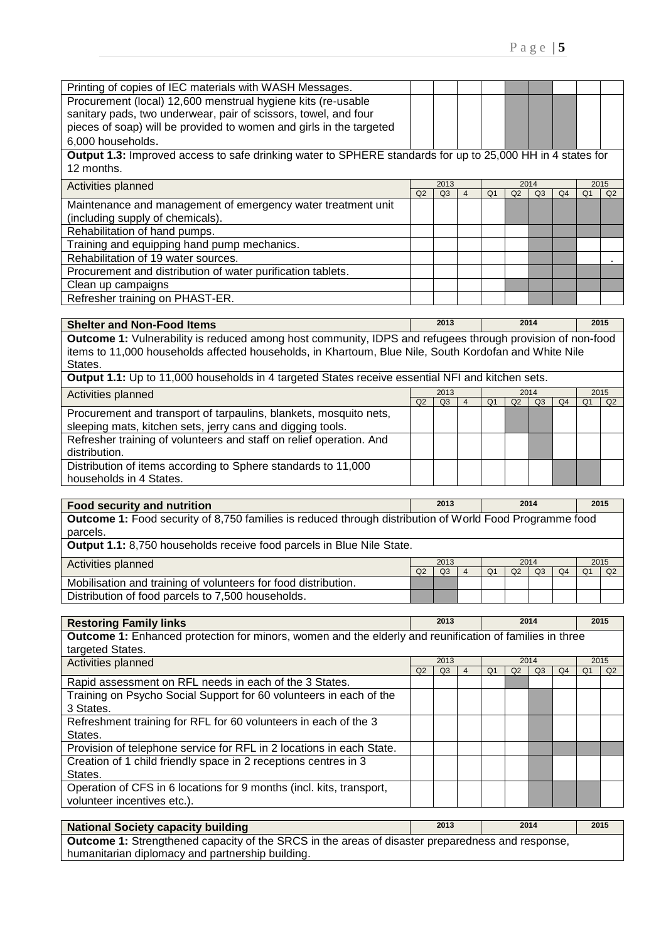| Printing of copies of IEC materials with WASH Messages.                                                                  |    |      |                |                |    |                |                |                |      |
|--------------------------------------------------------------------------------------------------------------------------|----|------|----------------|----------------|----|----------------|----------------|----------------|------|
| Procurement (local) 12,600 menstrual hygiene kits (re-usable                                                             |    |      |                |                |    |                |                |                |      |
| sanitary pads, two underwear, pair of scissors, towel, and four                                                          |    |      |                |                |    |                |                |                |      |
| pieces of soap) will be provided to women and girls in the targeted                                                      |    |      |                |                |    |                |                |                |      |
| 6,000 households.                                                                                                        |    |      |                |                |    |                |                |                |      |
| Output 1.3: Improved access to safe drinking water to SPHERE standards for up to 25,000 HH in 4 states for<br>12 months. |    |      |                |                |    |                |                |                |      |
| Activities planned                                                                                                       |    | 2013 |                |                |    | 2014           |                |                | 2015 |
|                                                                                                                          | Q2 | Q3   | $\overline{4}$ | Q <sub>1</sub> | Q2 | Q3             | Q <sub>4</sub> | Q <sub>1</sub> | Q2   |
| Maintenance and management of emergency water treatment unit<br>(including supply of chemicals).                         |    |      |                |                |    |                |                |                |      |
| Rehabilitation of hand pumps.                                                                                            |    |      |                |                |    |                |                |                |      |
| Training and equipping hand pump mechanics.                                                                              |    |      |                |                |    |                |                |                |      |
| Rehabilitation of 19 water sources.                                                                                      |    |      |                |                |    |                |                |                |      |
| Procurement and distribution of water purification tablets.                                                              |    |      |                |                |    |                |                |                |      |
| Clean up campaigns                                                                                                       |    |      |                |                |    |                |                |                |      |
|                                                                                                                          |    |      |                |                |    |                |                |                |      |
| Refresher training on PHAST-ER.                                                                                          |    |      |                |                |    |                |                |                |      |
|                                                                                                                          |    |      |                |                |    |                |                |                |      |
| <b>Shelter and Non-Food Items</b>                                                                                        |    | 2013 |                |                |    | 2014           |                |                | 2015 |
| Outcome 1: Vulnerability is reduced among host community, IDPS and refugees through provision of non-food                |    |      |                |                |    |                |                |                |      |
| items to 11,000 households affected households, in Khartoum, Blue Nile, South Kordofan and White Nile<br>States.         |    |      |                |                |    |                |                |                |      |
| Output 1.1: Up to 11,000 households in 4 targeted States receive essential NFI and kitchen sets.                         |    |      |                |                |    |                |                |                |      |
|                                                                                                                          |    | 2013 |                |                |    | 2014           |                |                | 2015 |
| Activities planned                                                                                                       | Q2 | Q3   | $\overline{4}$ | Q <sub>1</sub> | Q2 | Q <sub>3</sub> | Q <sub>4</sub> | Q <sub>1</sub> | Q2   |
| Procurement and transport of tarpaulins, blankets, mosquito nets,                                                        |    |      |                |                |    |                |                |                |      |
| sleeping mats, kitchen sets, jerry cans and digging tools.                                                               |    |      |                |                |    |                |                |                |      |
| Refresher training of volunteers and staff on relief operation. And                                                      |    |      |                |                |    |                |                |                |      |
| distribution.                                                                                                            |    |      |                |                |    |                |                |                |      |
| Distribution of items according to Sphere standards to 11,000                                                            |    |      |                |                |    |                |                |                |      |
| households in 4 States.                                                                                                  |    |      |                |                |    |                |                |                |      |
| <b>Food security and nutrition</b>                                                                                       |    | 2013 |                |                |    | 2014           |                |                | 2015 |

**Outcome 1:** Food security of 8,750 families is reduced through distribution of World Food Programme food parcels. **Output 1.1:** 8,750 households receive food parcels in Blue Nile State.

| <b>Output</b> 1.1. 0,700 households receive food parcels in Dide Hills Oldie. |                  |                                       |        |
|-------------------------------------------------------------------------------|------------------|---------------------------------------|--------|
| Activities planned                                                            | 2013             | 2014                                  | 2015   |
|                                                                               | $\sim$<br>$\sim$ | $\sim$ $\sim$ $\sim$ $\sim$<br>$\sim$ | $\sim$ |

|                                                                | QZ. | $\cap$<br>us | Q <sub>1</sub> | Q <sub>2</sub> | Q3 | Q4 | Q <sub>1</sub> | $\sim$ |
|----------------------------------------------------------------|-----|--------------|----------------|----------------|----|----|----------------|--------|
| Mobilisation and training of volunteers for food distribution. |     |              |                |                |    |    |                |        |
| Distribution of food parcels to 7,500 households.              |     |              |                |                |    |    |                |        |
|                                                                |     |              |                |                |    |    |                |        |

| <b>Restoring Family links</b>                                                                                  | 2013           |                | 2014 |                |      |    | 2015           |    |                |  |
|----------------------------------------------------------------------------------------------------------------|----------------|----------------|------|----------------|------|----|----------------|----|----------------|--|
| <b>Outcome 1:</b> Enhanced protection for minors, women and the elderly and reunification of families in three |                |                |      |                |      |    |                |    |                |  |
| targeted States.                                                                                               |                |                |      |                |      |    |                |    |                |  |
| Activities planned                                                                                             | 2013           |                |      |                | 2014 |    | 2015           |    |                |  |
| Rapid assessment on RFL needs in each of the 3 States.                                                         | Q <sub>2</sub> | Q <sub>3</sub> | 4    | O <sub>1</sub> | Q2   | Q3 | Q <sub>4</sub> | Q1 | Q <sub>2</sub> |  |
| Training on Psycho Social Support for 60 volunteers in each of the                                             |                |                |      |                |      |    |                |    |                |  |
| 3 States.                                                                                                      |                |                |      |                |      |    |                |    |                |  |
| Refreshment training for RFL for 60 volunteers in each of the 3                                                |                |                |      |                |      |    |                |    |                |  |
| States.                                                                                                        |                |                |      |                |      |    |                |    |                |  |
| Provision of telephone service for RFL in 2 locations in each State.                                           |                |                |      |                |      |    |                |    |                |  |
| Creation of 1 child friendly space in 2 receptions centres in 3                                                |                |                |      |                |      |    |                |    |                |  |
| States.                                                                                                        |                |                |      |                |      |    |                |    |                |  |
| Operation of CFS in 6 locations for 9 months (incl. kits, transport,                                           |                |                |      |                |      |    |                |    |                |  |
| volunteer incentives etc.).                                                                                    |                |                |      |                |      |    |                |    |                |  |
|                                                                                                                |                |                |      |                |      |    |                |    |                |  |

| <b>National Society capacity building</b>                                                               | 2013 | 2014 | 2015 |
|---------------------------------------------------------------------------------------------------------|------|------|------|
| <b>Outcome 1:</b> Strengthened capacity of the SRCS in the areas of disaster preparedness and response, |      |      |      |
| humanitarian diplomacy and partnership building.                                                        |      |      |      |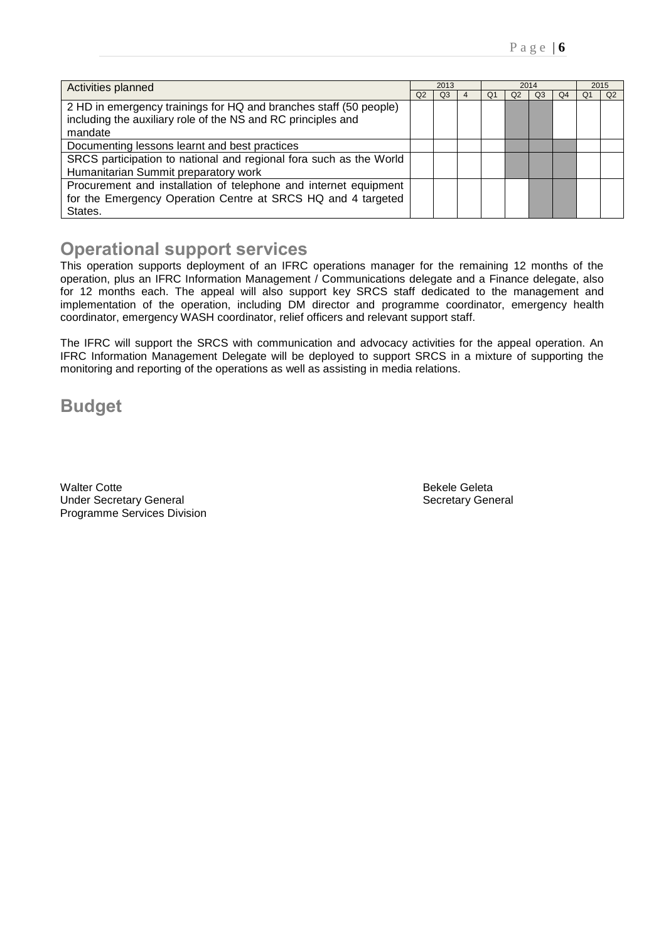| Activities planned                                                 |                | 2013 |  |    | 2014 | 2015 |    |    |    |
|--------------------------------------------------------------------|----------------|------|--|----|------|------|----|----|----|
|                                                                    | Q <sub>2</sub> | Q3   |  | O. | Q2   | OЗ   | Q4 | Oʻ | Q2 |
| 2 HD in emergency trainings for HQ and branches staff (50 people)  |                |      |  |    |      |      |    |    |    |
| including the auxiliary role of the NS and RC principles and       |                |      |  |    |      |      |    |    |    |
| mandate                                                            |                |      |  |    |      |      |    |    |    |
| Documenting lessons learnt and best practices                      |                |      |  |    |      |      |    |    |    |
| SRCS participation to national and regional fora such as the World |                |      |  |    |      |      |    |    |    |
| Humanitarian Summit preparatory work                               |                |      |  |    |      |      |    |    |    |
| Procurement and installation of telephone and internet equipment   |                |      |  |    |      |      |    |    |    |
| for the Emergency Operation Centre at SRCS HQ and 4 targeted       |                |      |  |    |      |      |    |    |    |
| States.                                                            |                |      |  |    |      |      |    |    |    |

## **Operational support services**

This operation supports deployment of an IFRC operations manager for the remaining 12 months of the operation, plus an IFRC Information Management / Communications delegate and a Finance delegate, also for 12 months each. The appeal will also support key SRCS staff dedicated to the management and implementation of the operation, including DM director and programme coordinator, emergency health coordinator, emergency WASH coordinator, relief officers and relevant support staff.

The IFRC will support the SRCS with communication and advocacy activities for the appeal operation. An IFRC Information Management Delegate will be deployed to support SRCS in a mixture of supporting the monitoring and reporting of the operations as well as assisting in media relations.

**Budget** 

Walter Cotte **Bekele** Geleta Under Secretary General and Secretary General Secretary General Programme Services Division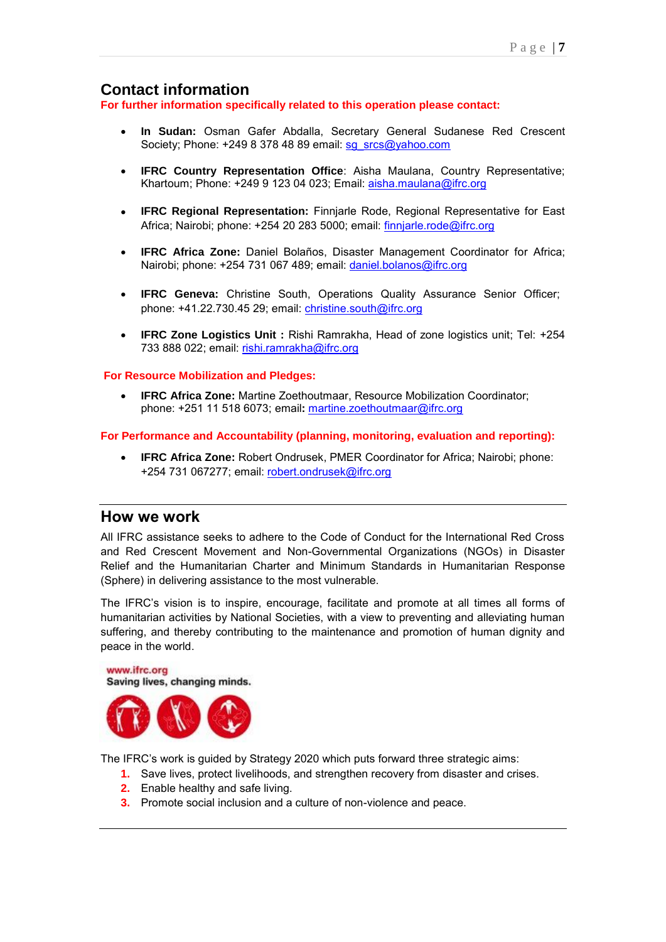## **Contact information**

**For further information specifically related to this operation please contact:** 

- **In Sudan:** Osman Gafer Abdalla, Secretary General Sudanese Red Crescent Society; Phone: +249 8 378 48 89 email: [sg\\_srcs@yahoo.com](mailto:sg_srcs@yahoo.com)
- **IFRC Country Representation Office**: Aisha Maulana, Country Representative; Khartoum; Phone: +249 9 123 04 023; Email: [aisha.maulana@ifrc.org](mailto:aisha.maulana@ifrc.org)
- **IFRC Regional Representation:** Finnjarle Rode, Regional Representative for East Africa; Nairobi; phone: +254 20 283 5000; email: finniarle.rode@ifrc.org
- **IFRC Africa Zone:** Daniel Bolaños, Disaster Management Coordinator for Africa; Nairobi; phone: +254 731 067 489; email: daniel.bolanos@ifrc.org
- **IFRC Geneva:** Christine South, Operations Quality Assurance Senior Officer; phone: +41.22.730.45 29; email: [christine.south@ifrc.org](mailto:christine.south@ifrc.org)
- **IFRC Zone Logistics Unit :** Rishi Ramrakha, Head of zone logistics unit; Tel: +254 733 888 022; email: [rishi.ramrakha@ifrc.org](mailto:rishi.ramrakha@ifrc.org)

#### **For Resource Mobilization and Pledges:**

 **IFRC Africa Zone:** Martine Zoethoutmaar, Resource Mobilization Coordinator; phone: +251 11 518 6073; email**:** [martine.zoethoutmaar@ifrc.org](mailto:martine.zoethoutmaar@ifrc.org) 

#### **For Performance and Accountability (planning, monitoring, evaluation and reporting):**

 **IFRC Africa Zone:** Robert Ondrusek, PMER Coordinator for Africa; Nairobi; phone: +254 731 067277; email: [robert.ondrusek@ifrc.org](mailto:robert.ondrusek@ifrc.org)

## **How we work**

All IFRC assistance seeks to adhere to the Code of Conduct for the International Red Cross and Red Crescent Movement and Non-Governmental Organizations (NGOs) in Disaster Relief and the Humanitarian Charter and Minimum Standards in Humanitarian Response (Sphere) in delivering assistance to the most vulnerable.

The IFRC's vision is to inspire, encourage, facilitate and promote at all times all forms of humanitarian activities by National Societies, with a view to preventing and alleviating human suffering, and thereby contributing to the maintenance and promotion of human dignity and peace in the world.



The IFRC's work is guided by Strategy 2020 which puts forward three strategic aims:

- **1.** Save lives, protect livelihoods, and strengthen recovery from disaster and crises.
- **2.** Enable healthy and safe living.
- **3.** Promote social inclusion and a culture of non-violence and peace.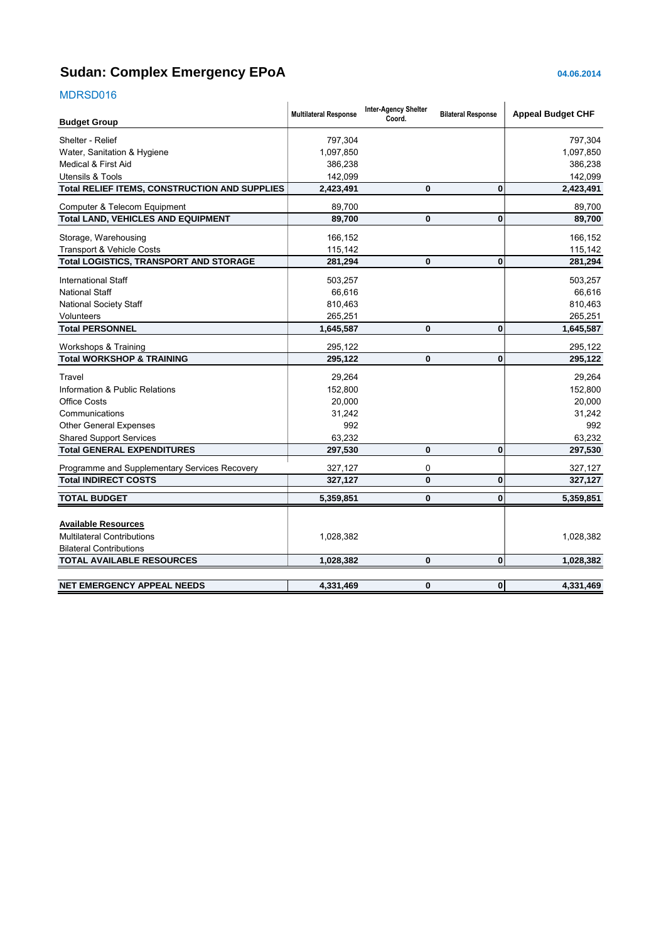## <span id="page-7-0"></span>**Sudan: Complex Emergency EPoA 04.06.2014**

## MDRSD016

| <b>IVIDINODUTU</b>                            |                              |                                       |                           |                          |
|-----------------------------------------------|------------------------------|---------------------------------------|---------------------------|--------------------------|
| <b>Budget Group</b>                           | <b>Multilateral Response</b> | <b>Inter-Agency Shelter</b><br>Coord. | <b>Bilateral Response</b> | <b>Appeal Budget CHF</b> |
| Shelter - Relief                              | 797,304                      |                                       |                           | 797,304                  |
| Water, Sanitation & Hygiene                   | 1,097,850                    |                                       |                           | 1,097,850                |
| Medical & First Aid                           | 386,238                      |                                       |                           | 386,238                  |
| <b>Utensils &amp; Tools</b>                   | 142,099                      |                                       |                           | 142,099                  |
| Total RELIEF ITEMS, CONSTRUCTION AND SUPPLIES | 2,423,491                    | 0                                     | $\mathbf{0}$              | 2,423,491                |
| Computer & Telecom Equipment                  | 89,700                       |                                       |                           | 89,700                   |
| <b>Total LAND, VEHICLES AND EQUIPMENT</b>     | 89,700                       | $\mathbf{0}$                          | 0                         | 89,700                   |
| Storage, Warehousing                          | 166,152                      |                                       |                           | 166,152                  |
| <b>Transport &amp; Vehicle Costs</b>          | 115,142                      |                                       |                           | 115,142                  |
| Total LOGISTICS, TRANSPORT AND STORAGE        | 281,294                      | $\mathbf{0}$                          | $\mathbf{0}$              | 281,294                  |
| <b>International Staff</b>                    | 503,257                      |                                       |                           | 503,257                  |
| <b>National Staff</b>                         | 66,616                       |                                       |                           | 66,616                   |
| <b>National Society Staff</b>                 | 810,463                      |                                       |                           | 810,463                  |
| <b>Volunteers</b>                             | 265,251                      |                                       |                           | 265,251                  |
| <b>Total PERSONNEL</b>                        | 1,645,587                    | $\bf{0}$                              | $\mathbf{0}$              | 1,645,587                |
| Workshops & Training                          | 295,122                      |                                       |                           | 295,122                  |
| <b>Total WORKSHOP &amp; TRAINING</b>          | 295,122                      | $\mathbf 0$                           | $\mathbf{0}$              | 295,122                  |
| Travel                                        | 29,264                       |                                       |                           | 29,264                   |
| Information & Public Relations                | 152,800                      |                                       |                           | 152,800                  |
| <b>Office Costs</b>                           | 20,000                       |                                       |                           | 20,000                   |
| Communications                                | 31,242                       |                                       |                           | 31,242                   |
| <b>Other General Expenses</b>                 | 992                          |                                       |                           | 992                      |
| <b>Shared Support Services</b>                | 63,232                       |                                       |                           | 63,232                   |
| <b>Total GENERAL EXPENDITURES</b>             | 297,530                      | 0                                     | $\bf{0}$                  | 297,530                  |
| Programme and Supplementary Services Recovery | 327,127                      | $\mathbf 0$                           |                           | 327,127                  |
| <b>Total INDIRECT COSTS</b>                   | 327,127                      | $\mathbf{0}$                          | $\bf{0}$                  | 327,127                  |
| <b>TOTAL BUDGET</b>                           | 5,359,851                    | $\bf{0}$                              | $\bf{0}$                  | 5,359,851                |
| <b>Available Resources</b>                    |                              |                                       |                           |                          |
| <b>Multilateral Contributions</b>             | 1,028,382                    |                                       |                           | 1,028,382                |
| <b>Bilateral Contributions</b>                |                              |                                       |                           |                          |
| <b>TOTAL AVAILABLE RESOURCES</b>              | 1,028,382                    | $\mathbf 0$                           | 0                         | 1,028,382                |
|                                               |                              |                                       |                           |                          |
| <b>NET EMERGENCY APPEAL NEEDS</b>             | 4,331,469                    | $\mathbf 0$                           | $\mathbf{0}$              | 4,331,469                |